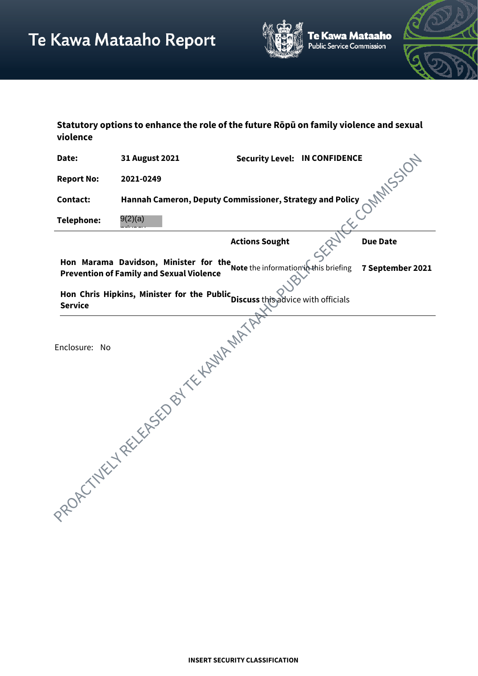

Te Kawa Mataaho<br>Public Service Commission



**Statutory options to enhance the role of the future Rōpū on family violence and sexual violence**

| Date:                                                                                                                                        | 31 August 2021                                                                                                             | <b>Security Level: IN CONFIDENCE</b> |             |                  |  |  |  |
|----------------------------------------------------------------------------------------------------------------------------------------------|----------------------------------------------------------------------------------------------------------------------------|--------------------------------------|-------------|------------------|--|--|--|
| <b>Report No:</b>                                                                                                                            | 2021-0249                                                                                                                  |                                      |             | <b>MANISION</b>  |  |  |  |
| <b>Contact:</b>                                                                                                                              | Hannah Cameron, Deputy Commissioner, Strategy and Policy                                                                   |                                      |             |                  |  |  |  |
| <b>Telephone:</b>                                                                                                                            | 9(2)(a)                                                                                                                    |                                      | <b>SECO</b> |                  |  |  |  |
|                                                                                                                                              |                                                                                                                            | <b>Actions Sought</b>                |             | <b>Due Date</b>  |  |  |  |
|                                                                                                                                              | Hon Marama Davidson, Minister for the Note the information the briefing<br><b>Prevention of Family and Sexual Violence</b> |                                      |             | 7 September 2021 |  |  |  |
| Hon Chris Hipkins, Minister for the Public Discuss this advice with officials<br><b>Service</b><br>PROPOTIVELY REFLERED BY TELEVABLE MARINES |                                                                                                                            |                                      |             |                  |  |  |  |
|                                                                                                                                              |                                                                                                                            |                                      |             |                  |  |  |  |
|                                                                                                                                              |                                                                                                                            |                                      |             |                  |  |  |  |
|                                                                                                                                              |                                                                                                                            |                                      |             |                  |  |  |  |
|                                                                                                                                              |                                                                                                                            |                                      |             |                  |  |  |  |
|                                                                                                                                              |                                                                                                                            |                                      |             |                  |  |  |  |
|                                                                                                                                              |                                                                                                                            |                                      |             |                  |  |  |  |
|                                                                                                                                              |                                                                                                                            |                                      |             |                  |  |  |  |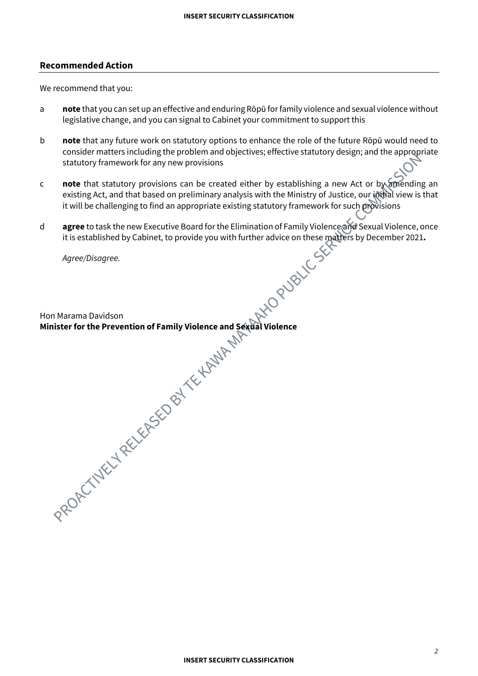## **Recommended Action**

We recommend that you:

- a **note** that you can set up an effective and enduring Rōpū for family violence and sexual violence without legislative change, and you can signal to Cabinet your commitment to support this
- b **note** that any future work on statutory options to enhance the role of the future Rōpū would need to consider matters including the problem and objectives; effective statutory design; and the appropriate statutory framework for any new provisions
- c **note** that statutory provisions can be created either by establishing a new Act or by amending an existing Act, and that based on preliminary analysis with the Ministry of Justice, our initial view is that it will be challenging to find an appropriate existing statutory framework for such **pro**visions
- d agree to task the new Executive Board for the Elimination of Family Violence@nd Sexual Violence, once that for it is established by Cabinet, to provide you with further advice on these matters by December 2021**.**

*Agree/Disagree.*

Hon Marama Davidson **Minister for the Prevention of Family Violence and Sexual Violence**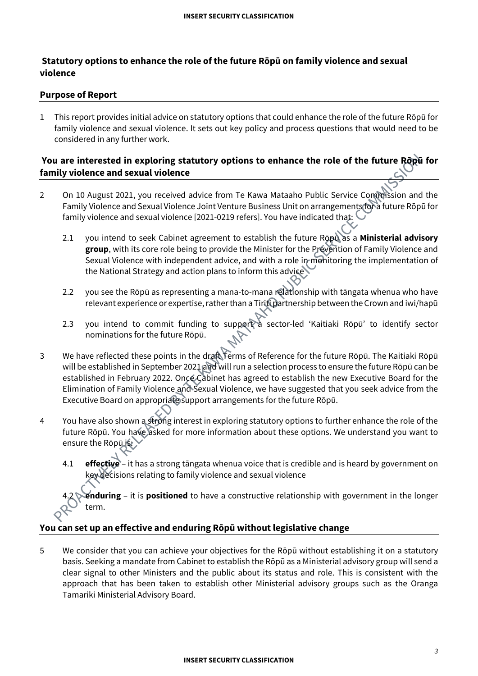## **Statutory options to enhance the role of the future Rōpū on family violence and sexual violence**

### **Purpose of Report**

1 This report provides initial advice on statutory options that could enhance the role of the future Rōpū for family violence and sexual violence. It sets out key policy and process questions that would need to be considered in any further work.

## **You are interested in exploring statutory options to enhance the role of the future Rōpū for family violence and sexual violence**

- 2 On 10 August 2021, you received advice from Te Kawa Mataaho Public Service Commission and the Family Violence and Sexual Violence Joint Venture Business Unit on arrangements for a future Rōpū for family violence and sexual violence [2021-0219 refers]. You have indicated that:
	- 2.1 you intend to seek Cabinet agreement to establish the future Rōpū as a **Ministerial advisory group**, with its core role being to provide the Minister for the Prevention of Family Violence and Sexual Violence with independent advice, and with a role in monitoring the implementation of the National Strategy and action plans to inform this advice
	- 2.2 you see the Rōpū as representing a mana-to-mana relationship with tāngata whenua who have relevant experience or expertise, rather than a Tiriti partnership between the Crown and iwi/hapū
	- 2.3 you intend to commit funding to support a sector-led 'Kaitiaki Rōpū' to identify sector nominations for the future Rōpū.
- 3 We have reflected these points in the draft Terms of Reference for the future Rōpū. The Kaitiaki Rōpū will be established in September 2021 and will run a selection process to ensure the future Rōpū can be established in February 2022. Once Cabinet has agreed to establish the new Executive Board for the Elimination of Family Violence and Sexual Violence, we have suggested that you seek advice from the Executive Board on appropriate support arrangements for the future Rōpū.
- 4 You have also shown a strong interest in exploring statutory options to further enhance the role of the future Rōpū. You have asked for more information about these options. We understand you want to ensure the Ropū is:
	- 4.1 **effective**  it has a strong tāngata whenua voice that is credible and is heard by government on key decisions relating to family violence and sexual violence

**enduring** – it is **positioned** to have a constructive relationship with government in the longer term.

### **You can set up an effective and enduring Rōpū without legislative change**

5 We consider that you can achieve your objectives for the Rōpū without establishing it on a statutory basis. Seeking a mandate from Cabinet to establish the Rōpū as a Ministerial advisory group will send a clear signal to other Ministers and the public about its status and role. This is consistent with the approach that has been taken to establish other Ministerial advisory groups such as the Oranga Tamariki Ministerial Advisory Board.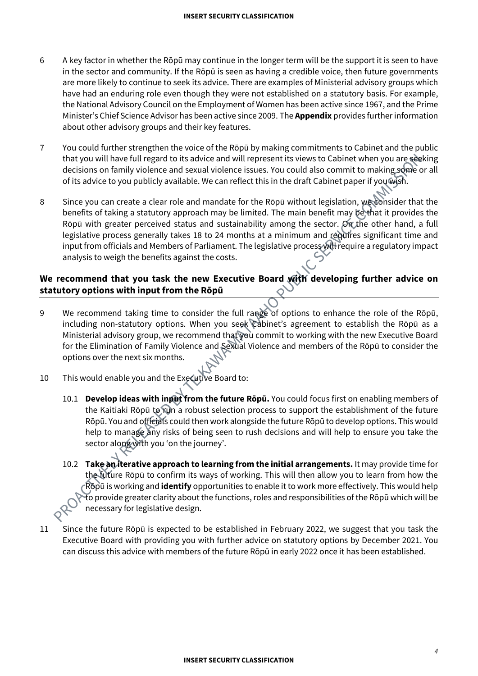- 6 A key factor in whether the Rōpū may continue in the longer term will be the support it is seen to have in the sector and community. If the Rōpū is seen as having a credible voice, then future governments are more likely to continue to seek its advice. There are examples of Ministerial advisory groups which have had an enduring role even though they were not established on a statutory basis. For example, the National Advisory Council on the Employment of Women has been active since 1967, and the Prime Minister's Chief Science Advisor has been active since 2009. The **Appendix** provides further information about other advisory groups and their key features.
- 7 You could further strengthen the voice of the Rōpū by making commitments to Cabinet and the public that you will have full regard to its advice and will represent its views to Cabinet when you are seeking decisions on family violence and sexual violence issues. You could also commit to making some or all of its advice to you publicly available. We can reflect this in the draft Cabinet paper if you wish.
- 8 Since you can create a clear role and mandate for the Rōpū without legislation, we consider that the benefits of taking a statutory approach may be limited. The main benefit may be that it provides the Rōpū with greater perceived status and sustainability among the sector. On the other hand, a full legislative process generally takes 18 to 24 months at a minimum and requires significant time and input from officials and Members of Parliament. The legislative process will require a regulatory impact analysis to weigh the benefits against the costs.

## **We recommend that you task the new Executive Board with developing further advice on statutory options with input from the Rōpū**

- 9 We recommend taking time to consider the full range of options to enhance the role of the Rōpū, including non-statutory options. When you seek cabinet's agreement to establish the Rōpū as a Ministerial advisory group, we recommend that you commit to working with the new Executive Board for the Elimination of Family Violence and Sexual Violence and members of the Rōpū to consider the options over the next six months.
- 10 This would enable you and the Executive Board to:
	- 10.1 **Develop ideas with input from the future Rōpū.** You could focus first on enabling members of the Kaitiaki Rōpū to run a robust selection process to support the establishment of the future Rōpū. You and officials could then work alongside the future Rōpū to develop options. This would help to manage any risks of being seen to rush decisions and will help to ensure you take the sector along with you 'on the journey'.
	- 10.2 Take an iterative approach to learning from the initial arrangements. It may provide time for the future Rōpū to confirm its ways of working. This will then allow you to learn from how the Rōpū is working and **identify** opportunities to enable it to work more effectively. This would help to provide greater clarity about the functions, roles and responsibilities of the Rōpū which will be necessary for legislative design.
- 11 Since the future Rōpū is expected to be established in February 2022, we suggest that you task the Executive Board with providing you with further advice on statutory options by December 2021. You can discuss this advice with members of the future Rōpū in early 2022 once it has been established.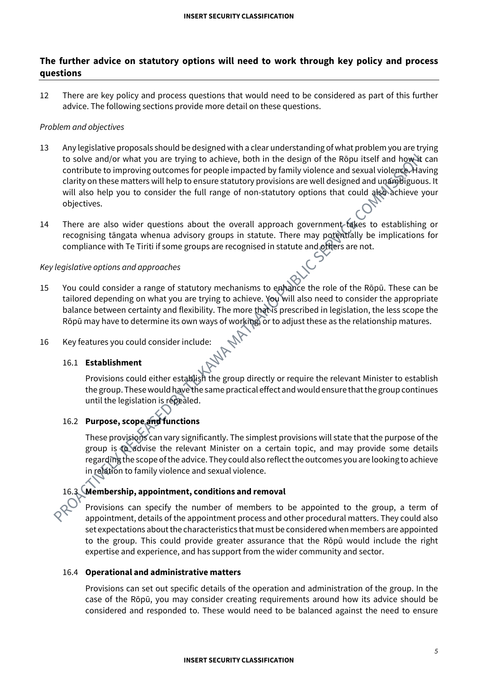## **The further advice on statutory options will need to work through key policy and process questions**

12 There are key policy and process questions that would need to be considered as part of this further advice. The following sections provide more detail on these questions.

#### *Problem and objectives*

- 13 Any legislative proposals should be designed with a clear understanding of what problem you are trying to solve and/or what you are trying to achieve, both in the design of the Rōpu itself and how it can contribute to improving outcomes for people impacted by family violence and sexual violence. Having clarity on these matters will help to ensure statutory provisions are well designed and unambiguous. It will also help you to consider the full range of non-statutory options that could also achieve your objectives.
- 14 There are also wider questions about the overall approach government takes to establishing or recognising tāngata whenua advisory groups in statute. There may potentially be implications for compliance with Te Tiriti if some groups are recognised in statute and others are not.

#### *Key legislative options and approaches*

15 You could consider a range of statutory mechanisms to enhance the role of the Rōpū. These can be tailored depending on what you are trying to achieve. You will also need to consider the appropriate balance between certainty and flexibility. The more that is prescribed in legislation, the less scope the Rōpū may have to determine its own ways of working, or to adjust these as the relationship matures.

#### 16 Key features you could consider include:

#### 16.1 **Establishment**

Provisions could either establish the group directly or require the relevant Minister to establish the group. These would have the same practical effect and would ensure that the group continues until the legislation is repealed.

# 16.2 **Purpose, scope and functions**

These provisions can vary significantly. The simplest provisions will state that the purpose of the group is to advise the relevant Minister on a certain topic, and may provide some details regarding the scope of the advice. They could also reflect the outcomes you are looking to achieve in relation to family violence and sexual violence.

### 16.3 **Membership, appointment, conditions and removal**

Provisions can specify the number of members to be appointed to the group, a term of appointment, details of the appointment process and other procedural matters. They could also set expectations about the characteristics that must be considered when members are appointed to the group. This could provide greater assurance that the Rōpū would include the right expertise and experience, and has support from the wider community and sector.

#### 16.4 **Operational and administrative matters**

Provisions can set out specific details of the operation and administration of the group. In the case of the Rōpū, you may consider creating requirements around how its advice should be considered and responded to. These would need to be balanced against the need to ensure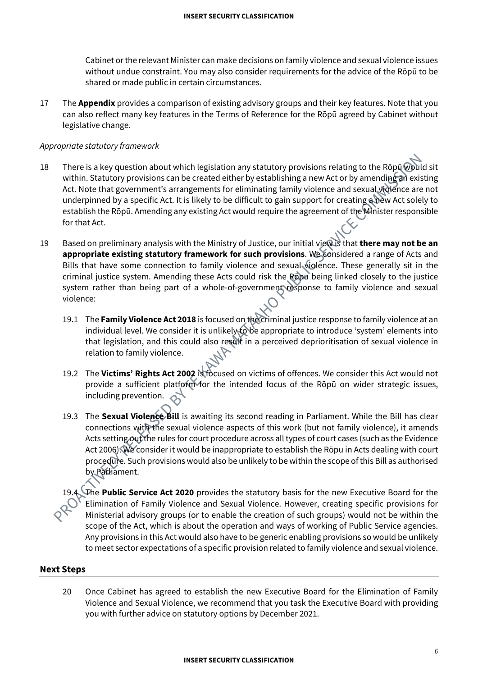Cabinet or the relevant Minister can make decisions on family violence and sexual violence issues without undue constraint. You may also consider requirements for the advice of the Rōpū to be shared or made public in certain circumstances.

17 The **Appendix** provides a comparison of existing advisory groups and their key features. Note that you can also reflect many key features in the Terms of Reference for the Rōpū agreed by Cabinet without legislative change.

#### *Appropriate statutory framework*

- 18 There is a key question about which legislation any statutory provisions relating to the Rōpū would sit within. Statutory provisions can be created either by establishing a new Act or by amending an existing Act. Note that government's arrangements for eliminating family violence and sexual violence are not underpinned by a specific Act. It is likely to be difficult to gain support for creating a new Act solely to establish the Rōpū. Amending any existing Act would require the agreement of the Minister responsible for that Act.
- 19 Based on preliminary analysis with the Ministry of Justice, our initial view is that **there may not be an**  appropriate existing statutory framework for such provisions. We considered a range of Acts and Bills that have some connection to family violence and sexual violence. These generally sit in the criminal justice system. Amending these Acts could risk the Rōpu being linked closely to the justice system rather than being part of a whole-of-government response to family violence and sexual violence:
	- 19.1 The **Family Violence Act 2018** is focused on the criminal justice response to family violence at an individual level. We consider it is unlikely to be appropriate to introduce 'system' elements into that legislation, and this could also result in a perceived deprioritisation of sexual violence in relation to family violence.
	- 19.2 The **Victims' Rights Act 2002** is focused on victims of offences. We consider this Act would not provide a sufficient platform for the intended focus of the Rōpū on wider strategic issues, including prevention.
	- 19.3 The **Sexual Violence Bill** is awaiting its second reading in Parliament. While the Bill has clear connections with the sexual violence aspects of this work (but not family violence), it amends Acts setting out the rules for court procedure across all types of court cases (such as the Evidence Act 2006). We consider it would be inappropriate to establish the Rōpu in Acts dealing with court procedure. Such provisions would also be unlikely to be within the scope of this Bill as authorised by Parliament.

The Public Service Act 2020 provides the statutory basis for the new Executive Board for the Elimination of Family Violence and Sexual Violence. However, creating specific provisions for Ministerial advisory groups (or to enable the creation of such groups) would not be within the scope of the Act, which is about the operation and ways of working of Public Service agencies. Any provisions in this Act would also have to be generic enabling provisions so would be unlikely to meet sector expectations of a specific provision related to family violence and sexual violence.

#### **Next Steps**

20 Once Cabinet has agreed to establish the new Executive Board for the Elimination of Family Violence and Sexual Violence, we recommend that you task the Executive Board with providing you with further advice on statutory options by December 2021.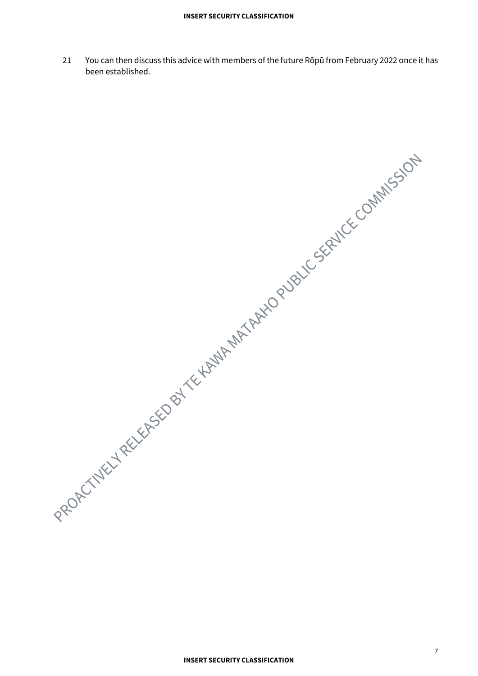#### **INSERT SECURITY CLASSIFICATION**

21 You can then discuss this advice with members of the future Rōpū from February 2022 once it has been established.

PRODECTIVE Y RECEIVED OF THE MANUFACTURE CORPUSSION AND DEVICE COMMISSION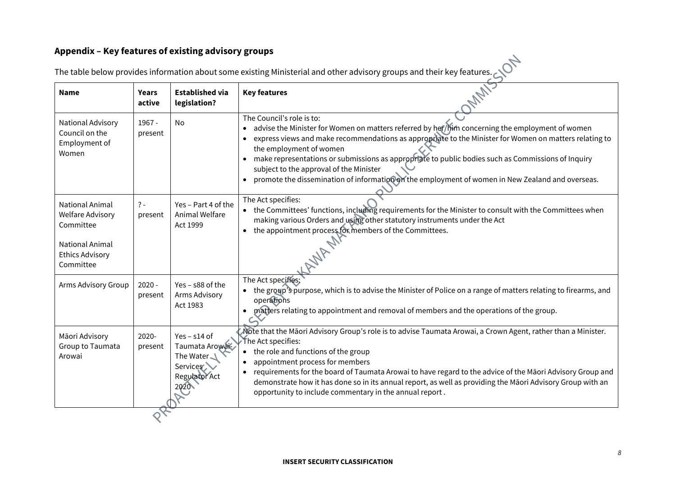## **Appendix – Key features of existing advisory groups**

| <b>Name</b>                                                                                                              | <b>Years</b><br>active | <b>Established via</b><br>legislation?                                             | <b>Key features</b>                                                                                                                                                                                                                                                                                                                                                                                                                                                                                                                                                        |  |  |
|--------------------------------------------------------------------------------------------------------------------------|------------------------|------------------------------------------------------------------------------------|----------------------------------------------------------------------------------------------------------------------------------------------------------------------------------------------------------------------------------------------------------------------------------------------------------------------------------------------------------------------------------------------------------------------------------------------------------------------------------------------------------------------------------------------------------------------------|--|--|
| National Advisory<br>Council on the<br>Employment of<br>Women                                                            | 1967 -<br>present      | <b>No</b>                                                                          | The Council's role is to:<br>advise the Minister for Women on matters referred by her/him concerning the employment of women<br>$\bullet$<br>express views and make recommendations as appropriate to the Minister for Women on matters relating to<br>$\bullet$<br>the employment of women<br>make representations or submissions as appropriate to public bodies such as Commissions of Inquiry<br>$\bullet$<br>subject to the approval of the Minister<br>promote the dissemination of information of the employment of women in New Zealand and overseas.<br>$\bullet$ |  |  |
| National Animal<br><b>Welfare Advisory</b><br>Committee<br><b>National Animal</b><br><b>Ethics Advisory</b><br>Committee | $? -$<br>present       | Yes - Part 4 of the<br>Animal Welfare<br>Act 1999                                  | The Act specifies:<br>• the Committees' functions, including requirements for the Minister to consult with the Committees when<br>making various Orders and using other statutory instruments under the Act<br>the appointment process for members of the Committees.<br>$\bullet$                                                                                                                                                                                                                                                                                         |  |  |
| Arms Advisory Group                                                                                                      | $2020 -$<br>present    | Yes $-$ s88 of the<br>Arms Advisory<br>Act 1983                                    | The Act specifies;<br>the group's purpose, which is to advise the Minister of Police on a range of matters relating to firearms, and<br>$\bullet$<br>operations<br>matters relating to appointment and removal of members and the operations of the group.                                                                                                                                                                                                                                                                                                                 |  |  |
| Māori Advisory<br>Group to Taumata<br>Arowai                                                                             | 2020-<br>present       | $Yes - s14$ of<br>Taumata Arowai<br>The Water<br>Services<br>Regulator Act<br>2020 | Note that the Māori Advisory Group's role is to advise Taumata Arowai, a Crown Agent, rather than a Minister.<br>The Act specifies:<br>the role and functions of the group<br>$\bullet$<br>appointment process for members<br>$\bullet$<br>requirements for the board of Taumata Arowai to have regard to the advice of the Māori Advisory Group and<br>$\bullet$<br>demonstrate how it has done so in its annual report, as well as providing the Māori Advisory Group with an<br>opportunity to include commentary in the annual report.                                 |  |  |
|                                                                                                                          |                        |                                                                                    |                                                                                                                                                                                                                                                                                                                                                                                                                                                                                                                                                                            |  |  |

The table below provides information about some existing Ministerial and other advisory groups and their key features.